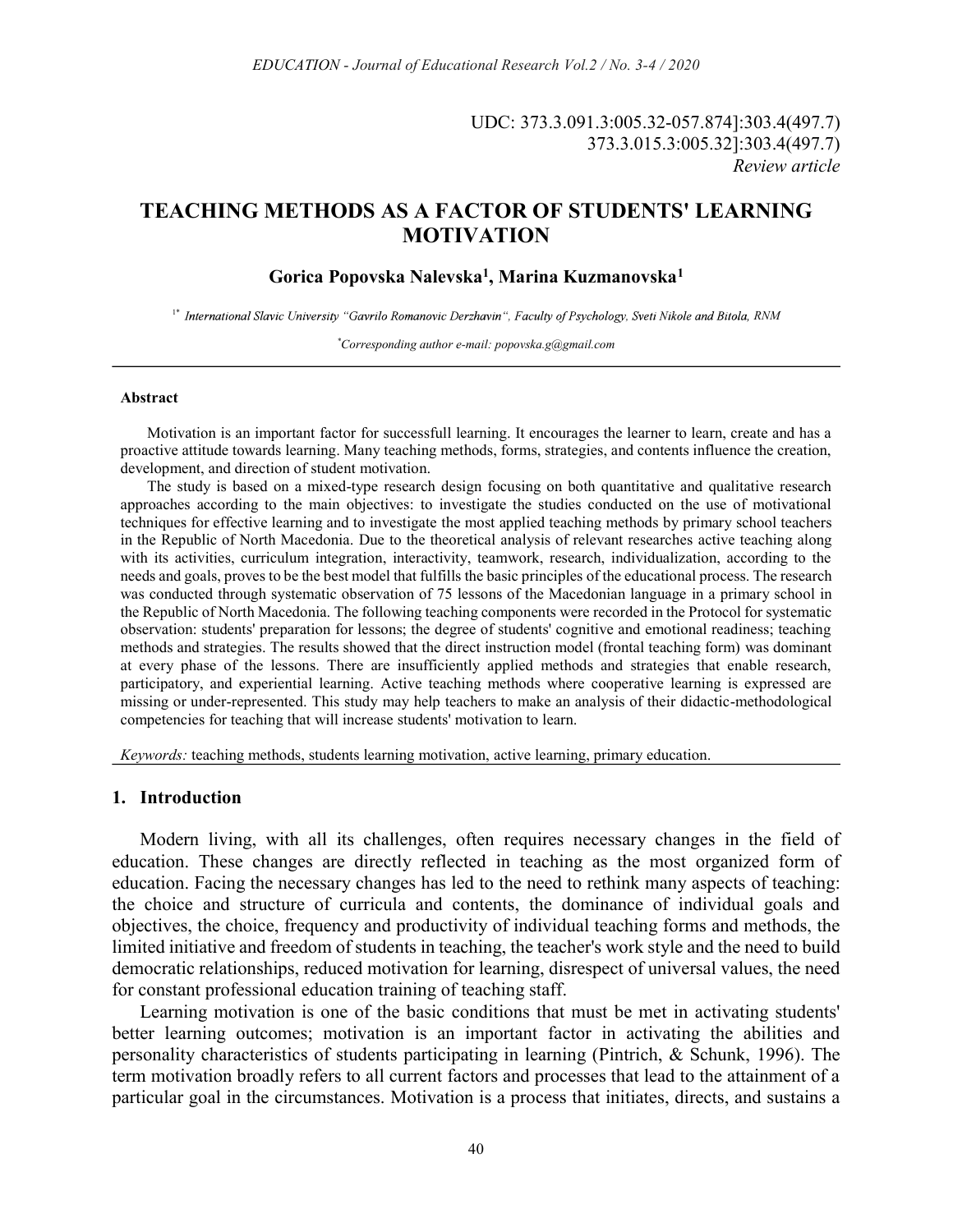UDC: 373.3.091.3:005.32-057.874]:303.4(497.7) 373.3.015.3:005.32]:303.4(497.7) Review article

# TEACHING METHODS AS A FACTOR OF STUDENTS' LEARNING MOTIVATION

## Gorica Popovska Nalevska<sup>1</sup>, Marina Kuzmanovska<sup>1</sup>

<sup>1\*</sup> International Slavic University "Gavrilo Romanovic Derzhavin", Faculty of Psychology, Sveti Nikole and Bitola, RNM<br>Corresponding author e-mail: popovska.g@gmail.com\*

#### Abstract

Motivation is an important factor for successfull learning. It encourages the learner to learn, create and has a proactive attitude towards learning. Many teaching methods, forms, strategies, and contents influence the creation, development, and direction of student motivation.

The study is based on a mixed-type research design focusing on both quantitative and qualitative research approaches according to the main objectives: to investigate the studies conducted on the use of motivational techniques for effective learning and to investigate the most applied teaching methods by primary school teachers in the Republic of North Macedonia. Due to the theoretical analysis of relevant researches active teaching along with its activities, curriculum integration, interactivity, teamwork, research, individualization, according to the needs and goals, proves to be the best model that fulfills the basic principles of the educational process. The research was conducted through systematic observation of 75 lessons of the Macedonian language in a primary school in the Republic of North Macedonia. The following teaching components were recorded in the Protocol for systematic observation: students' preparation for lessons; the degree of students' cognitive and emotional readiness; teaching methods and strategies. The results showed that the direct instruction model (frontal teaching form) was dominant at every phase of the lessons. There are insufficiently applied methods and strategies that enable research, participatory, and experiential learning. Active teaching methods where cooperative learning is expressed are missing or under-represented. This study may help teachers to make an analysis of their didactic-methodological competencies for teaching that will increase students' motivation to learn.

Keywords: teaching methods, students learning motivation, active learning, primary education.

### 1. Introduction

Modern living, with all its challenges, often requires necessary changes in the field of education. These changes are directly reflected in teaching as the most organized form of education. Facing the necessary changes has led to the need to rethink many aspects of teaching: the choice and structure of curricula and contents, the dominance of individual goals and objectives, the choice, frequency and productivity of individual teaching forms and methods, the limited initiative and freedom of students in teaching, the teacher's work style and the need to build democratic relationships, reduced motivation for learning, disrespect of universal values, the need for constant professional education training of teaching staff.

Learning motivation is one of the basic conditions that must be met in activating students' better learning outcomes; motivation is an important factor in activating the abilities and personality characteristics of students participating in learning (Pintrich, & Schunk, 1996). The term motivation broadly refers to all current factors and processes that lead to the attainment of a particular goal in the circumstances. Motivation is a process that initiates, directs, and sustains a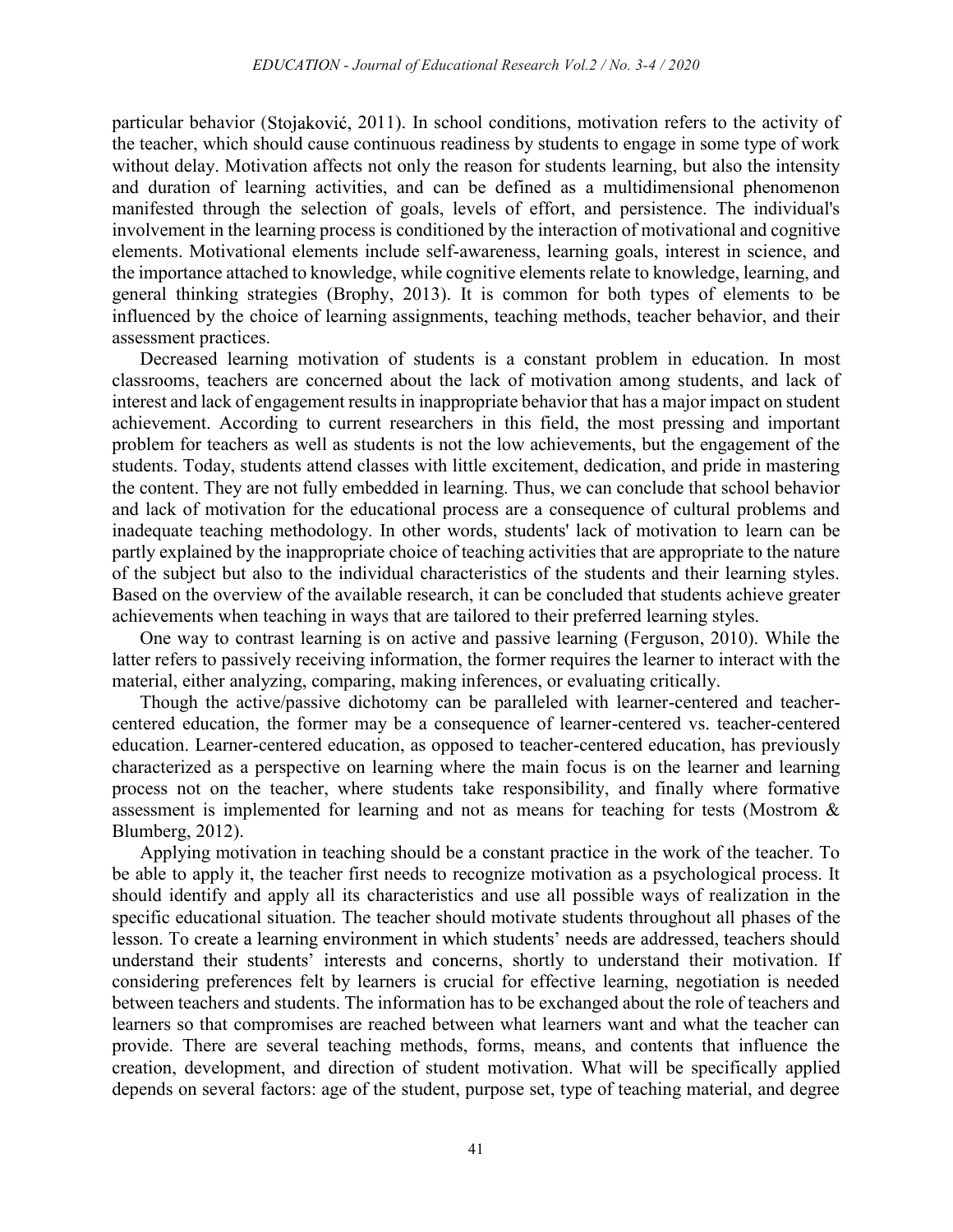particular behavior (Stojaković, 2011). In school conditions, motivation refers to the activity of the teacher, which should cause continuous readiness by students to engage in some type of work without delay. Motivation affects not only the reason for students learning, but also the intensity and duration of learning activities, and can be defined as a multidimensional phenomenon manifested through the selection of goals, levels of effort, and persistence. The individual's involvement in the learning process is conditioned by the interaction of motivational and cognitive elements. Motivational elements include self-awareness, learning goals, interest in science, and the importance attached to knowledge, while cognitive elements relate to knowledge, learning, and general thinking strategies (Brophy, 2013). It is common for both types of elements to be influenced by the choice of learning assignments, teaching methods, teacher behavior, and their assessment practices.

Decreased learning motivation of students is a constant problem in education. In most classrooms, teachers are concerned about the lack of motivation among students, and lack of interest and lack of engagement results in inappropriate behavior that has a major impact on student achievement. According to current researchers in this field, the most pressing and important problem for teachers as well as students is not the low achievements, but the engagement of the students. Today, students attend classes with little excitement, dedication, and pride in mastering the content. They are not fully embedded in learning. Thus, we can conclude that school behavior and lack of motivation for the educational process are a consequence of cultural problems and inadequate teaching methodology. In other words, students' lack of motivation to learn can be partly explained by the inappropriate choice of teaching activities that are appropriate to the nature of the subject but also to the individual characteristics of the students and their learning styles. Based on the overview of the available research, it can be concluded that students achieve greater achievements when teaching in ways that are tailored to their preferred learning styles.

One way to contrast learning is on active and passive learning (Ferguson, 2010). While the latter refers to passively receiving information, the former requires the learner to interact with the material, either analyzing, comparing, making inferences, or evaluating critically.

Though the active/passive dichotomy can be paralleled with learner-centered and teachercentered education, the former may be a consequence of learner-centered vs. teacher-centered education. Learner-centered education, as opposed to teacher-centered education, has previously characterized as a perspective on learning where the main focus is on the learner and learning process not on the teacher, where students take responsibility, and finally where formative assessment is implemented for learning and not as means for teaching for tests (Mostrom & Blumberg, 2012).

Applying motivation in teaching should be a constant practice in the work of the teacher. To be able to apply it, the teacher first needs to recognize motivation as a psychological process. It should identify and apply all its characteristics and use all possible ways of realization in the specific educational situation. The teacher should motivate students throughout all phases of the lesson. To create a learning environment in which students' needs are addressed, teachers should understand their students' interests and concerns, shortly to understand their motivation. If considering preferences felt by learners is crucial for effective learning, negotiation is needed between teachers and students. The information has to be exchanged about the role of teachers and learners so that compromises are reached between what learners want and what the teacher can provide. There are several teaching methods, forms, means, and contents that influence the creation, development, and direction of student motivation. What will be specifically applied depends on several factors: age of the student, purpose set, type of teaching material, and degree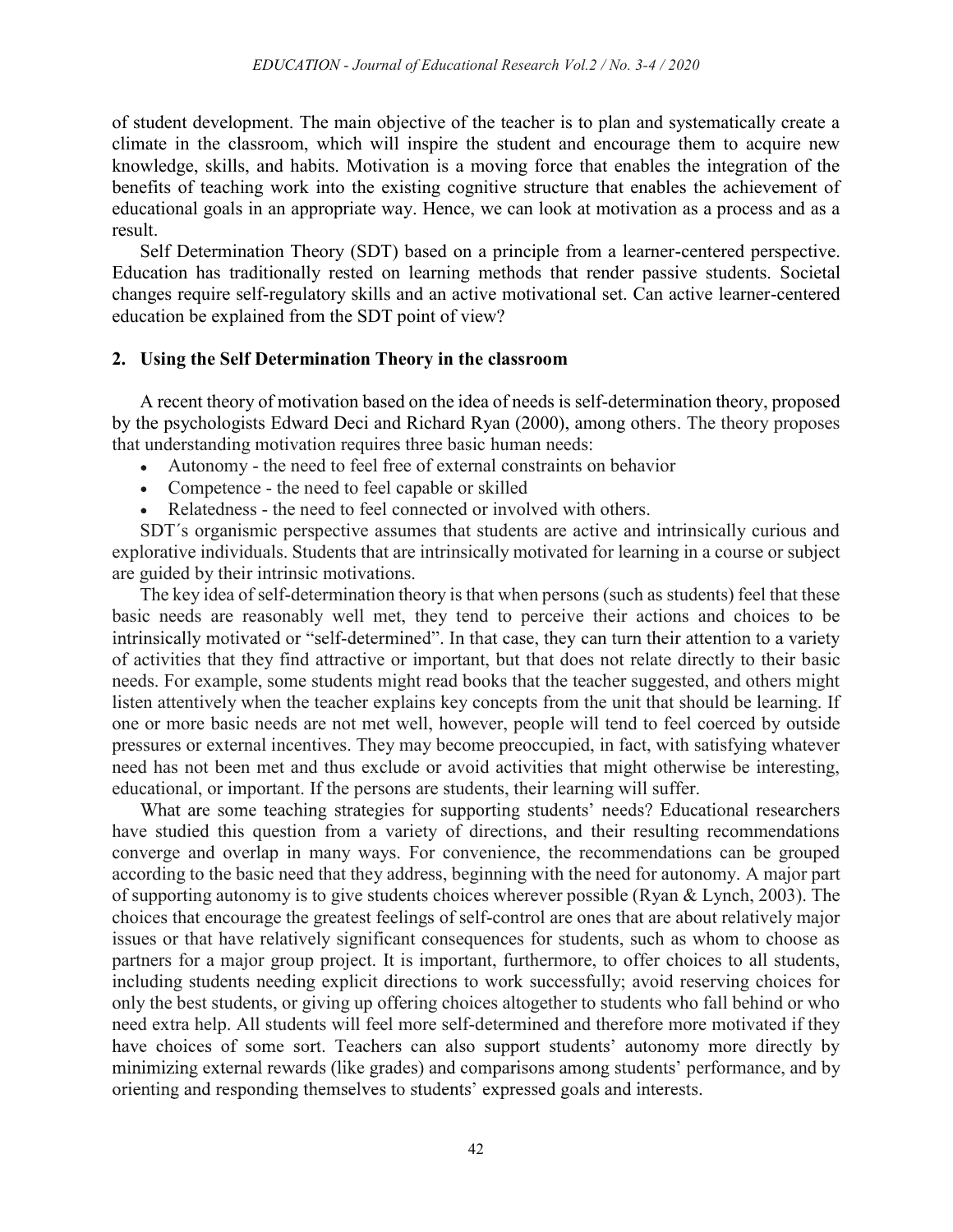of student development. The main objective of the teacher is to plan and systematically create a climate in the classroom, which will inspire the student and encourage them to acquire new knowledge, skills, and habits. Motivation is a moving force that enables the integration of the benefits of teaching work into the existing cognitive structure that enables the achievement of educational goals in an appropriate way. Hence, we can look at motivation as a process and as a result.

Self Determination Theory (SDT) based on a principle from a learner-centered perspective. Education has traditionally rested on learning methods that render passive students. Societal changes require self-regulatory skills and an active motivational set. Can active learner-centered education be explained from the SDT point of view?

### 2. Using the Self Determination Theory in the classroom

A recent theory of motivation based on the idea of needs is self-determination theory, proposed by the psychologists Edward Deci and Richard Ryan (2000), among others. The theory proposes that understanding motivation requires three basic human needs:

- Autonomy the need to feel free of external constraints on behavior
- Competence the need to feel capable or skilled
- Relatedness the need to feel connected or involved with others.

SDT´s organismic perspective assumes that students are active and intrinsically curious and explorative individuals. Students that are intrinsically motivated for learning in a course or subject are guided by their intrinsic motivations.

The key idea of self-determination theory is that when persons (such as students) feel that these basic needs are reasonably well met, they tend to perceive their actions and choices to be intrinsically motivated or "self-determined". In that case, they can turn their attention to a variety of activities that they find attractive or important, but that does not relate directly to their basic needs. For example, some students might read books that the teacher suggested, and others might listen attentively when the teacher explains key concepts from the unit that should be learning. If one or more basic needs are not met well, however, people will tend to feel coerced by outside pressures or external incentives. They may become preoccupied, in fact, with satisfying whatever need has not been met and thus exclude or avoid activities that might otherwise be interesting, educational, or important. If the persons are students, their learning will suffer.

What are some teaching strategies for supporting students' needs? Educational researchers have studied this question from a variety of directions, and their resulting recommendations converge and overlap in many ways. For convenience, the recommendations can be grouped according to the basic need that they address, beginning with the need for autonomy. A major part of supporting autonomy is to give students choices wherever possible (Ryan & Lynch, 2003). The choices that encourage the greatest feelings of self-control are ones that are about relatively major issues or that have relatively significant consequences for students, such as whom to choose as partners for a major group project. It is important, furthermore, to offer choices to all students, including students needing explicit directions to work successfully; avoid reserving choices for only the best students, or giving up offering choices altogether to students who fall behind or who need extra help. All students will feel more self-determined and therefore more motivated if they have choices of some sort. Teachers can also support students' autonomy more directly by minimizing external rewards (like grades) and comparisons among students' performance, and by orienting and responding themselves to students' expressed goals and interests.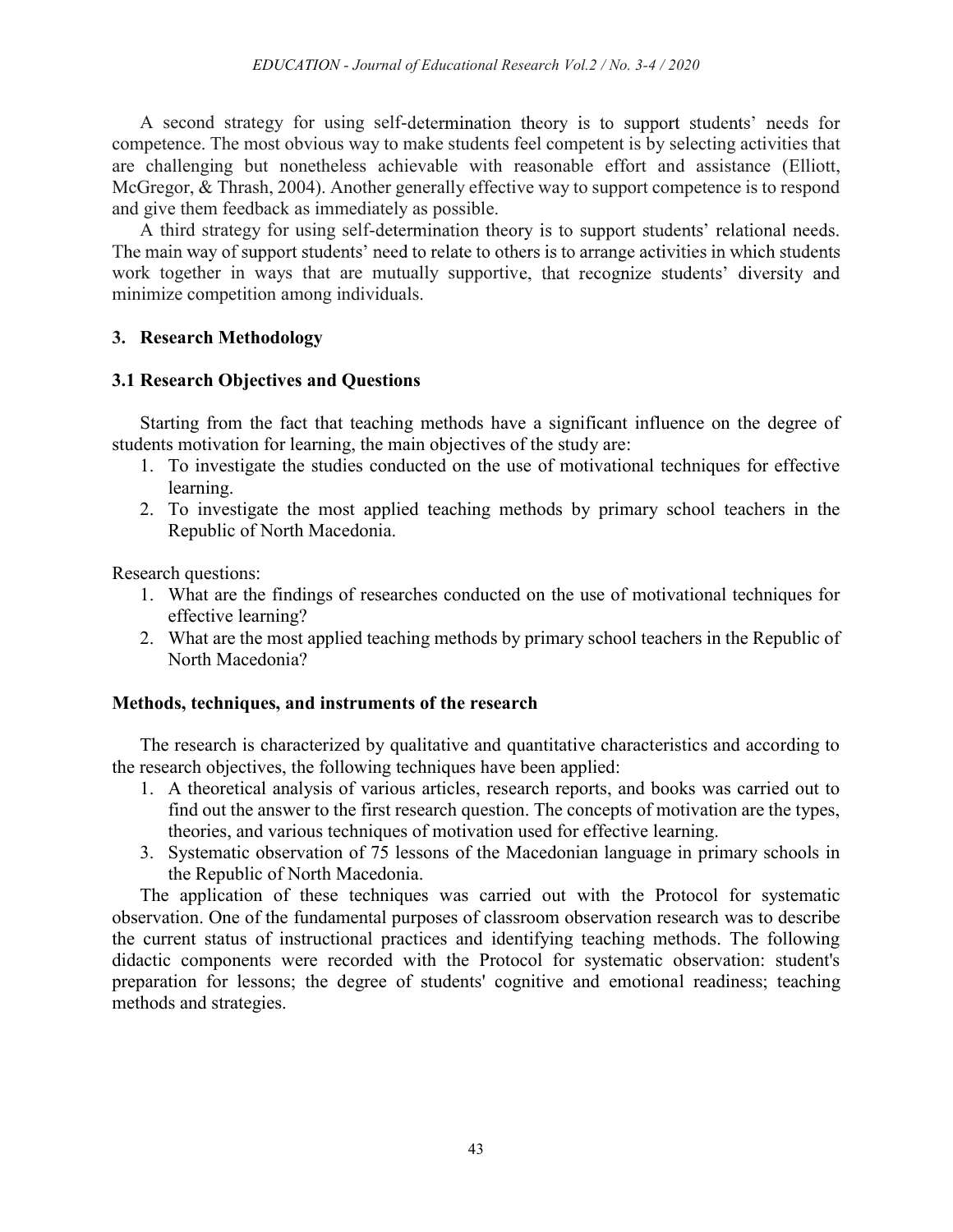A second strategy for using self-determination theory is to support students' needs for competence. The most obvious way to make students feel competent is by selecting activities that are challenging but nonetheless achievable with reasonable effort and assistance (Elliott, McGregor, & Thrash, 2004). Another generally effective way to support competence is to respond and give them feedback as immediately as possible.

A third strategy for using self-determination theory is to support students' relational needs. The main way of support students' need to relate to others is to arrange activities in which students work together in ways that are mutually supportive, that recognize students' diversity and minimize competition among individuals.

# 3. Research Methodology

# 3.1 Research Objectives and Questions

Starting from the fact that teaching methods have a significant influence on the degree of students motivation for learning, the main objectives of the study are:

- 1. To investigate the studies conducted on the use of motivational techniques for effective learning.
- 2. To investigate the most applied teaching methods by primary school teachers in the Republic of North Macedonia.

Research questions:

- 1. What are the findings of researches conducted on the use of motivational techniques for effective learning?
- 2. What are the most applied teaching methods by primary school teachers in the Republic of North Macedonia?

## Methods, techniques, and instruments of the research

The research is characterized by qualitative and quantitative characteristics and according to the research objectives, the following techniques have been applied:

- 1. A theoretical analysis of various articles, research reports, and books was carried out to find out the answer to the first research question. The concepts of motivation are the types, theories, and various techniques of motivation used for effective learning.
- 3. Systematic observation of 75 lessons of the Macedonian language in primary schools in the Republic of North Macedonia.

The application of these techniques was carried out with the Protocol for systematic observation. One of the fundamental purposes of classroom observation research was to describe the current status of instructional practices and identifying teaching methods. The following didactic components were recorded with the Protocol for systematic observation: student's preparation for lessons; the degree of students' cognitive and emotional readiness; teaching methods and strategies.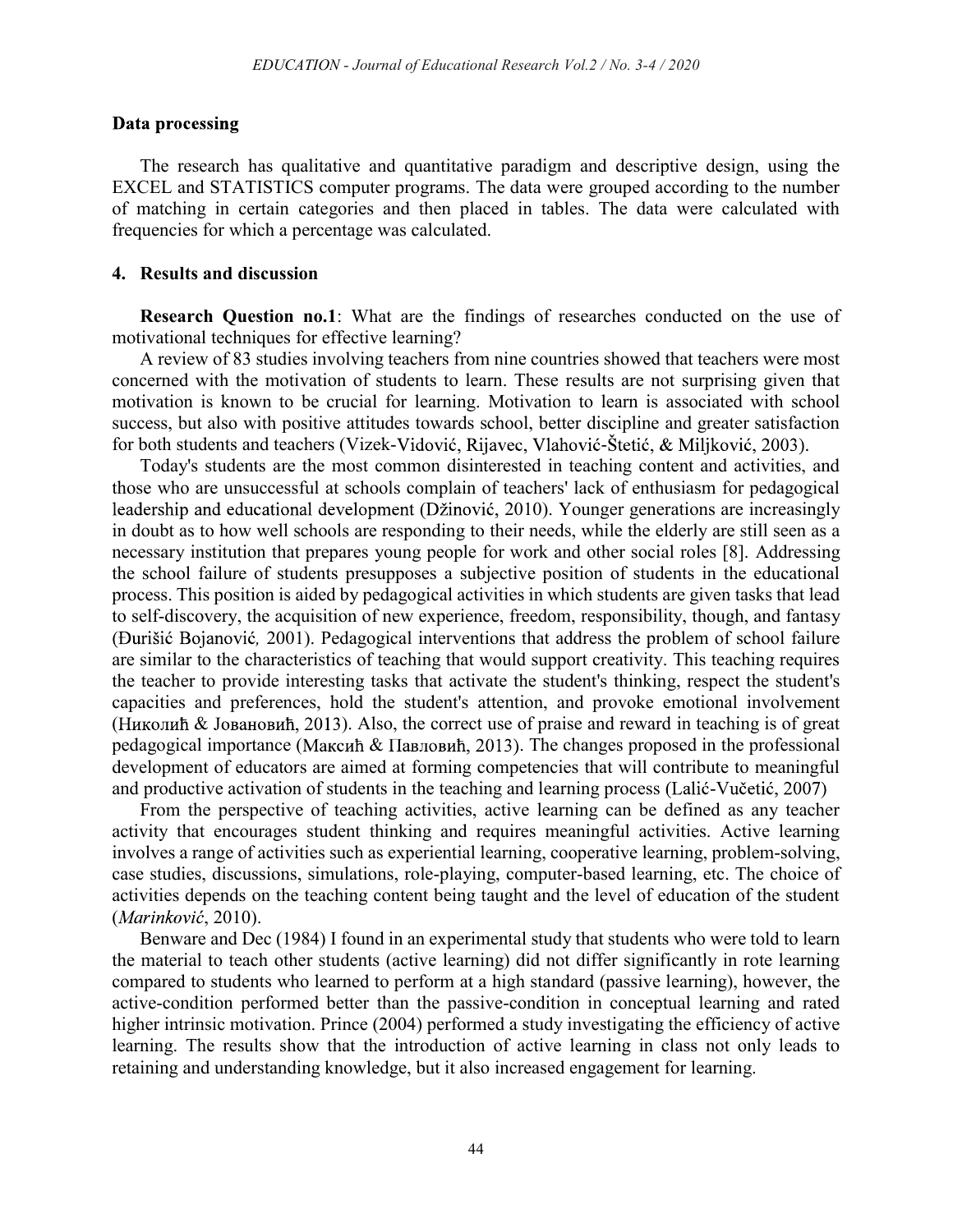#### Data processing

The research has qualitative and quantitative paradigm and descriptive design, using the EXCEL and STATISTICS computer programs. The data were grouped according to the number of matching in certain categories and then placed in tables. The data were calculated with frequencies for which a percentage was calculated.

### 4. Results and discussion

Research Question no.1: What are the findings of researches conducted on the use of motivational techniques for effective learning?

A review of 83 studies involving teachers from nine countries showed that teachers were most concerned with the motivation of students to learn. These results are not surprising given that motivation is known to be crucial for learning. Motivation to learn is associated with school success, but also with positive attitudes towards school, better discipline and greater satisfaction for both students and teachers (Vizek-Vidović, Rijavec, Vlahović-Štetić,  $\&$  Miljković, 2003).

Today's students are the most common disinterested in teaching content and activities, and those who are unsuccessful at schools complain of teachers' lack of enthusiasm for pedagogical leadership and educational development (Džinović, 2010). Younger generations are increasingly in doubt as to how well schools are responding to their needs, while the elderly are still seen as a necessary institution that prepares young people for work and other social roles [8]. Addressing the school failure of students presupposes a subjective position of students in the educational process. This position is aided by pedagogical activities in which students are given tasks that lead to self-discovery, the acquisition of new experience, freedom, responsibility, though, and fantasy , 2001). Pedagogical interventions that address the problem of school failure are similar to the characteristics of teaching that would support creativity. This teaching requires the teacher to provide interesting tasks that activate the student's thinking, respect the student's capacities and preferences, hold the student's attention, and provoke emotional involvement (Николић & Јовановић, 2013). Also, the correct use of praise and reward in teaching is of great pedagogical importance (Максић & Павловић, 2013). The changes proposed in the professional development of educators are aimed at forming competencies that will contribute to meaningful and productive activation of students in the teaching and learning process (Lalić-Vučetić, 2007)

From the perspective of teaching activities, active learning can be defined as any teacher activity that encourages student thinking and requires meaningful activities. Active learning involves a range of activities such as experiential learning, cooperative learning, problem-solving, case studies, discussions, simulations, role-playing, computer-based learning, etc. The choice of activities depends on the teaching content being taught and the level of education of the student (Marinković, 2010).

Benware and Dec (1984) I found in an experimental study that students who were told to learn the material to teach other students (active learning) did not differ significantly in rote learning compared to students who learned to perform at a high standard (passive learning), however, the active-condition performed better than the passive-condition in conceptual learning and rated higher intrinsic motivation. Prince (2004) performed a study investigating the efficiency of active learning. The results show that the introduction of active learning in class not only leads to retaining and understanding knowledge, but it also increased engagement for learning.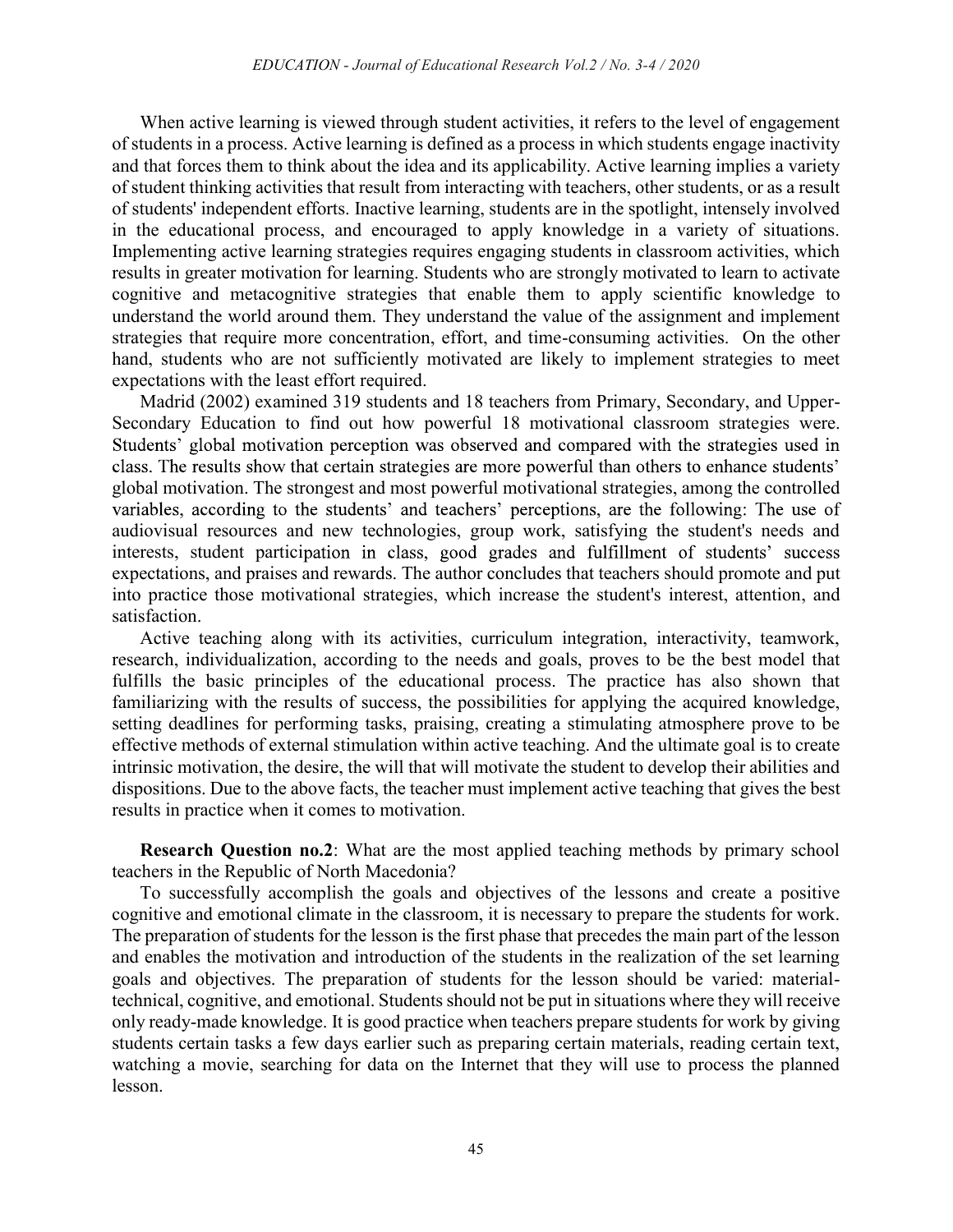When active learning is viewed through student activities, it refers to the level of engagement of students in a process. Active learning is defined as a process in which students engage inactivity and that forces them to think about the idea and its applicability. Active learning implies a variety of student thinking activities that result from interacting with teachers, other students, or as a result of students' independent efforts. Inactive learning, students are in the spotlight, intensely involved in the educational process, and encouraged to apply knowledge in a variety of situations. Implementing active learning strategies requires engaging students in classroom activities, which results in greater motivation for learning. Students who are strongly motivated to learn to activate cognitive and metacognitive strategies that enable them to apply scientific knowledge to understand the world around them. They understand the value of the assignment and implement strategies that require more concentration, effort, and time-consuming activities. On the other hand, students who are not sufficiently motivated are likely to implement strategies to meet expectations with the least effort required.

Madrid (2002) examined 319 students and 18 teachers from Primary, Secondary, and Upper-Secondary Education to find out how powerful 18 motivational classroom strategies were. Students' global motivation perception was observed and compared with the strategies used in class. The results show that certain strategies are more powerful than others to enhance students' global motivation. The strongest and most powerful motivational strategies, among the controlled variables, according to the students' and teachers' perceptions, are the following: The use of audiovisual resources and new technologies, group work, satisfying the student's needs and interests, student participation in class, good grades and fulfillment of students' success expectations, and praises and rewards. The author concludes that teachers should promote and put into practice those motivational strategies, which increase the student's interest, attention, and satisfaction.

Active teaching along with its activities, curriculum integration, interactivity, teamwork, research, individualization, according to the needs and goals, proves to be the best model that fulfills the basic principles of the educational process. The practice has also shown that familiarizing with the results of success, the possibilities for applying the acquired knowledge, setting deadlines for performing tasks, praising, creating a stimulating atmosphere prove to be effective methods of external stimulation within active teaching. And the ultimate goal is to create intrinsic motivation, the desire, the will that will motivate the student to develop their abilities and dispositions. Due to the above facts, the teacher must implement active teaching that gives the best results in practice when it comes to motivation.

Research Question no.2: What are the most applied teaching methods by primary school teachers in the Republic of North Macedonia?

To successfully accomplish the goals and objectives of the lessons and create a positive cognitive and emotional climate in the classroom, it is necessary to prepare the students for work. The preparation of students for the lesson is the first phase that precedes the main part of the lesson and enables the motivation and introduction of the students in the realization of the set learning goals and objectives. The preparation of students for the lesson should be varied: materialtechnical, cognitive, and emotional. Students should not be put in situations where they will receive only ready-made knowledge. It is good practice when teachers prepare students for work by giving students certain tasks a few days earlier such as preparing certain materials, reading certain text, watching a movie, searching for data on the Internet that they will use to process the planned lesson.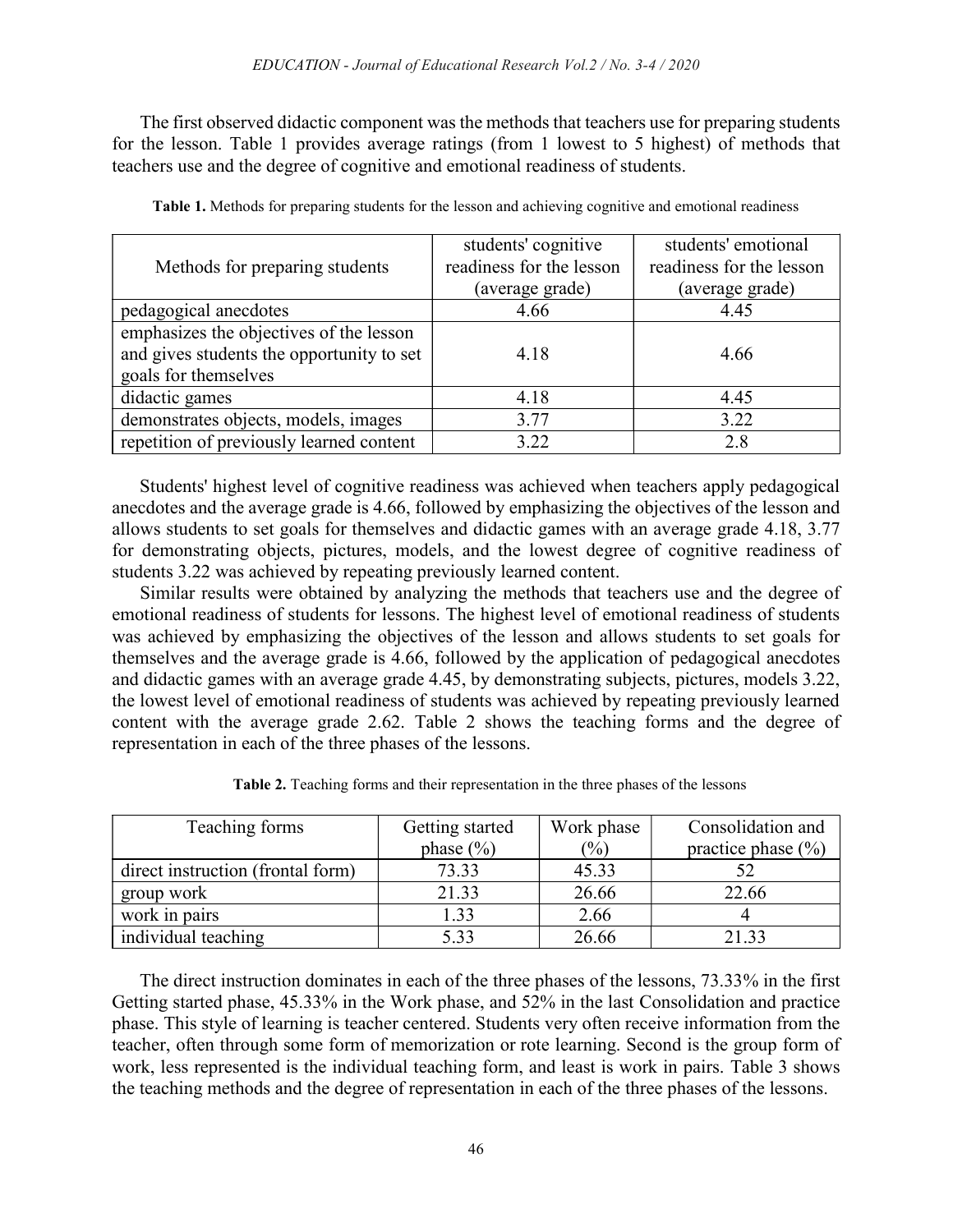The first observed didactic component was the methods that teachers use for preparing students for the lesson. Table 1 provides average ratings (from 1 lowest to 5 highest) of methods that teachers use and the degree of cognitive and emotional readiness of students.

| Methods for preparing students                                                                               | students' cognitive<br>readiness for the lesson<br>(average grade) | students' emotional<br>readiness for the lesson<br>(average grade) |
|--------------------------------------------------------------------------------------------------------------|--------------------------------------------------------------------|--------------------------------------------------------------------|
| pedagogical anecdotes                                                                                        | 4.66                                                               | 4.45                                                               |
| emphasizes the objectives of the lesson<br>and gives students the opportunity to set<br>goals for themselves | 4.18                                                               | 4.66                                                               |
| didactic games                                                                                               | 4.18                                                               | 4.45                                                               |
| demonstrates objects, models, images                                                                         | 3.77                                                               | 3.22                                                               |
| repetition of previously learned content                                                                     | 3.22                                                               | 2.8                                                                |

Table 1. Methods for preparing students for the lesson and achieving cognitive and emotional readiness

Students' highest level of cognitive readiness was achieved when teachers apply pedagogical anecdotes and the average grade is 4.66, followed by emphasizing the objectives of the lesson and allows students to set goals for themselves and didactic games with an average grade 4.18, 3.77 for demonstrating objects, pictures, models, and the lowest degree of cognitive readiness of students 3.22 was achieved by repeating previously learned content.

Similar results were obtained by analyzing the methods that teachers use and the degree of emotional readiness of students for lessons. The highest level of emotional readiness of students was achieved by emphasizing the objectives of the lesson and allows students to set goals for themselves and the average grade is 4.66, followed by the application of pedagogical anecdotes and didactic games with an average grade 4.45, by demonstrating subjects, pictures, models 3.22, the lowest level of emotional readiness of students was achieved by repeating previously learned content with the average grade 2.62. Table 2 shows the teaching forms and the degree of representation in each of the three phases of the lessons.

| Teaching forms                    | Getting started | Work phase | Consolidation and      |
|-----------------------------------|-----------------|------------|------------------------|
|                                   | phase $(\% )$   | (%)        | practice phase $(\% )$ |
| direct instruction (frontal form) | 73.33           | 45.33      |                        |
| group work                        | 21.33           | 26.66      | 22.66                  |
| work in pairs                     |                 | 2.66       |                        |

individual teaching  $5.33$   $\qquad$   $26.66$   $\qquad$   $21.33$ 

Table 2. Teaching forms and their representation in the three phases of the lessons

The direct instruction dominates in each of the three phases of the lessons, 73.33% in the first Getting started phase, 45.33% in the Work phase, and 52% in the last Consolidation and practice phase. This style of learning is teacher centered. Students very often receive information from the teacher, often through some form of memorization or rote learning. Second is the group form of work, less represented is the individual teaching form, and least is work in pairs. Table 3 shows the teaching methods and the degree of representation in each of the three phases of the lessons.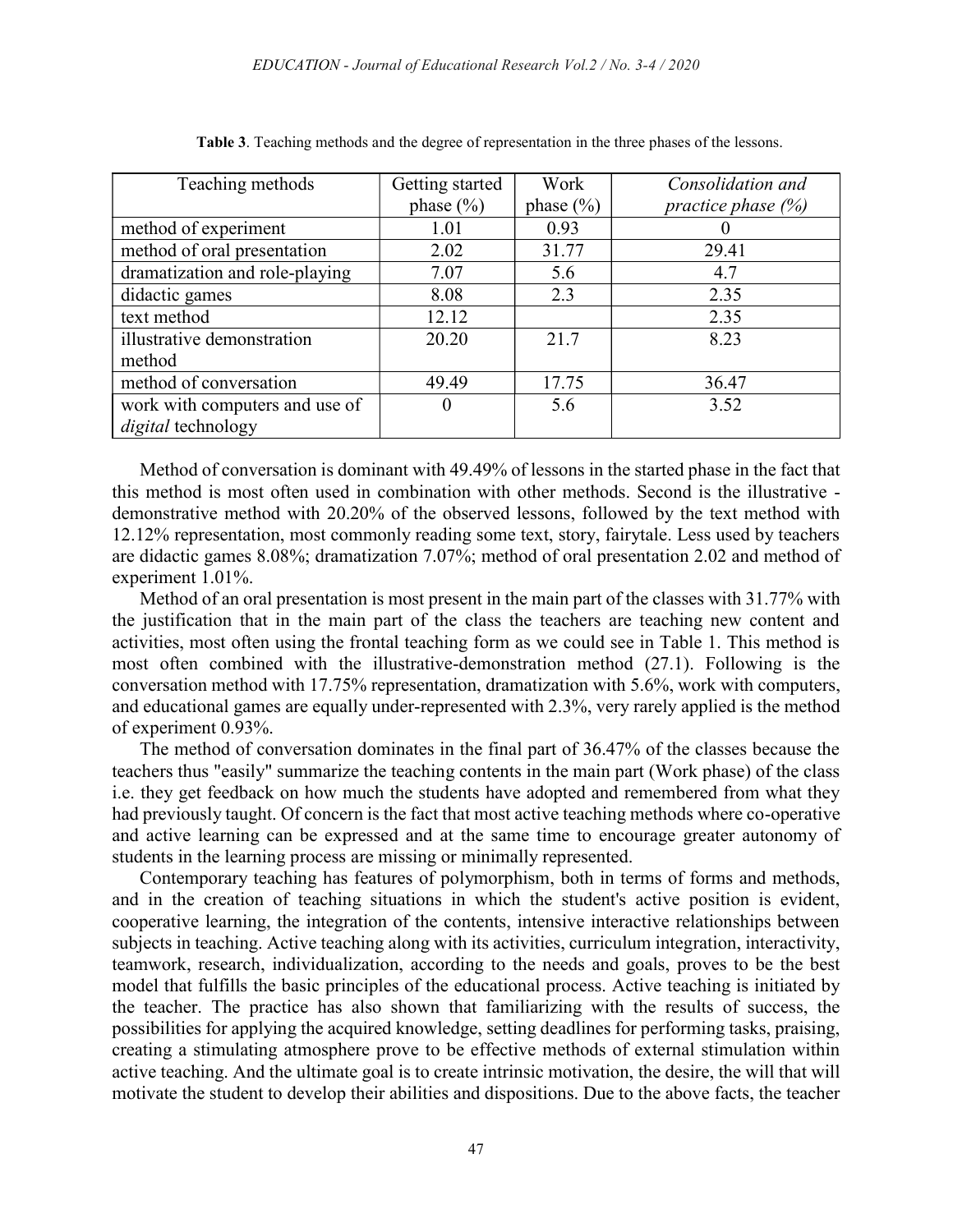| Teaching methods               | Getting started | Work         | Consolidation and     |
|--------------------------------|-----------------|--------------|-----------------------|
|                                | phase $(\% )$   | phase $(\%)$ | practice phase $(\%)$ |
| method of experiment           | 1.01            | 0.93         |                       |
| method of oral presentation    | 2.02            | 31.77        | 29.41                 |
| dramatization and role-playing | 7.07            | 5.6          | 4.7                   |
| didactic games                 | 8.08            | 2.3          | 2.35                  |
| text method                    | 12.12           |              | 2.35                  |
| illustrative demonstration     | 20.20           | 21.7         | 8.23                  |
| method                         |                 |              |                       |
| method of conversation         | 49.49           | 17.75        | 36.47                 |
| work with computers and use of |                 | 5.6          | 3.52                  |
| digital technology             |                 |              |                       |

Table 3. Teaching methods and the degree of representation in the three phases of the lessons.

Method of conversation is dominant with 49.49% of lessons in the started phase in the fact that this method is most often used in combination with other methods. Second is the illustrative demonstrative method with 20.20% of the observed lessons, followed by the text method with 12.12% representation, most commonly reading some text, story, fairytale. Less used by teachers are didactic games 8.08%; dramatization 7.07%; method of oral presentation 2.02 and method of experiment 1.01%.

Method of an oral presentation is most present in the main part of the classes with 31.77% with the justification that in the main part of the class the teachers are teaching new content and activities, most often using the frontal teaching form as we could see in Table 1. This method is most often combined with the illustrative-demonstration method (27.1). Following is the conversation method with 17.75% representation, dramatization with 5.6%, work with computers, and educational games are equally under-represented with 2.3%, very rarely applied is the method of experiment 0.93%.

The method of conversation dominates in the final part of 36.47% of the classes because the teachers thus "easily" summarize the teaching contents in the main part (Work phase) of the class i.e. they get feedback on how much the students have adopted and remembered from what they had previously taught. Of concern is the fact that most active teaching methods where co-operative and active learning can be expressed and at the same time to encourage greater autonomy of students in the learning process are missing or minimally represented.

Contemporary teaching has features of polymorphism, both in terms of forms and methods, and in the creation of teaching situations in which the student's active position is evident, cooperative learning, the integration of the contents, intensive interactive relationships between subjects in teaching. Active teaching along with its activities, curriculum integration, interactivity, teamwork, research, individualization, according to the needs and goals, proves to be the best model that fulfills the basic principles of the educational process. Active teaching is initiated by the teacher. The practice has also shown that familiarizing with the results of success, the possibilities for applying the acquired knowledge, setting deadlines for performing tasks, praising, creating a stimulating atmosphere prove to be effective methods of external stimulation within active teaching. And the ultimate goal is to create intrinsic motivation, the desire, the will that will motivate the student to develop their abilities and dispositions. Due to the above facts, the teacher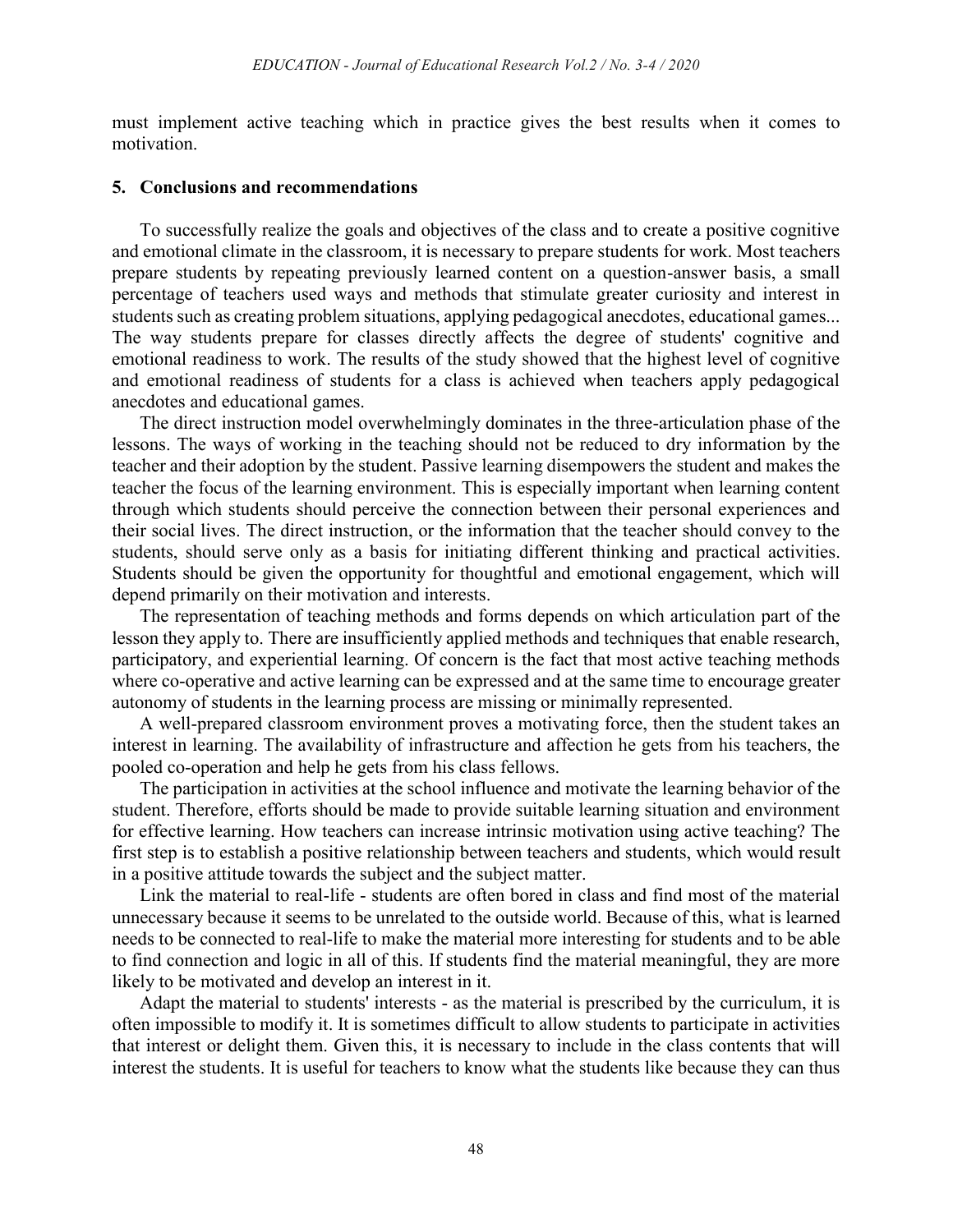must implement active teaching which in practice gives the best results when it comes to motivation.

### 5. Conclusions and recommendations

To successfully realize the goals and objectives of the class and to create a positive cognitive and emotional climate in the classroom, it is necessary to prepare students for work. Most teachers prepare students by repeating previously learned content on a question-answer basis, a small percentage of teachers used ways and methods that stimulate greater curiosity and interest in students such as creating problem situations, applying pedagogical anecdotes, educational games... The way students prepare for classes directly affects the degree of students' cognitive and emotional readiness to work. The results of the study showed that the highest level of cognitive and emotional readiness of students for a class is achieved when teachers apply pedagogical anecdotes and educational games.

The direct instruction model overwhelmingly dominates in the three-articulation phase of the lessons. The ways of working in the teaching should not be reduced to dry information by the teacher and their adoption by the student. Passive learning disempowers the student and makes the teacher the focus of the learning environment. This is especially important when learning content through which students should perceive the connection between their personal experiences and their social lives. The direct instruction, or the information that the teacher should convey to the students, should serve only as a basis for initiating different thinking and practical activities. Students should be given the opportunity for thoughtful and emotional engagement, which will depend primarily on their motivation and interests.

The representation of teaching methods and forms depends on which articulation part of the lesson they apply to. There are insufficiently applied methods and techniques that enable research, participatory, and experiential learning. Of concern is the fact that most active teaching methods where co-operative and active learning can be expressed and at the same time to encourage greater autonomy of students in the learning process are missing or minimally represented.

A well-prepared classroom environment proves a motivating force, then the student takes an interest in learning. The availability of infrastructure and affection he gets from his teachers, the pooled co-operation and help he gets from his class fellows.

The participation in activities at the school influence and motivate the learning behavior of the student. Therefore, efforts should be made to provide suitable learning situation and environment for effective learning. How teachers can increase intrinsic motivation using active teaching? The first step is to establish a positive relationship between teachers and students, which would result in a positive attitude towards the subject and the subject matter.

Link the material to real-life - students are often bored in class and find most of the material unnecessary because it seems to be unrelated to the outside world. Because of this, what is learned needs to be connected to real-life to make the material more interesting for students and to be able to find connection and logic in all of this. If students find the material meaningful, they are more likely to be motivated and develop an interest in it.

Adapt the material to students' interests - as the material is prescribed by the curriculum, it is often impossible to modify it. It is sometimes difficult to allow students to participate in activities that interest or delight them. Given this, it is necessary to include in the class contents that will interest the students. It is useful for teachers to know what the students like because they can thus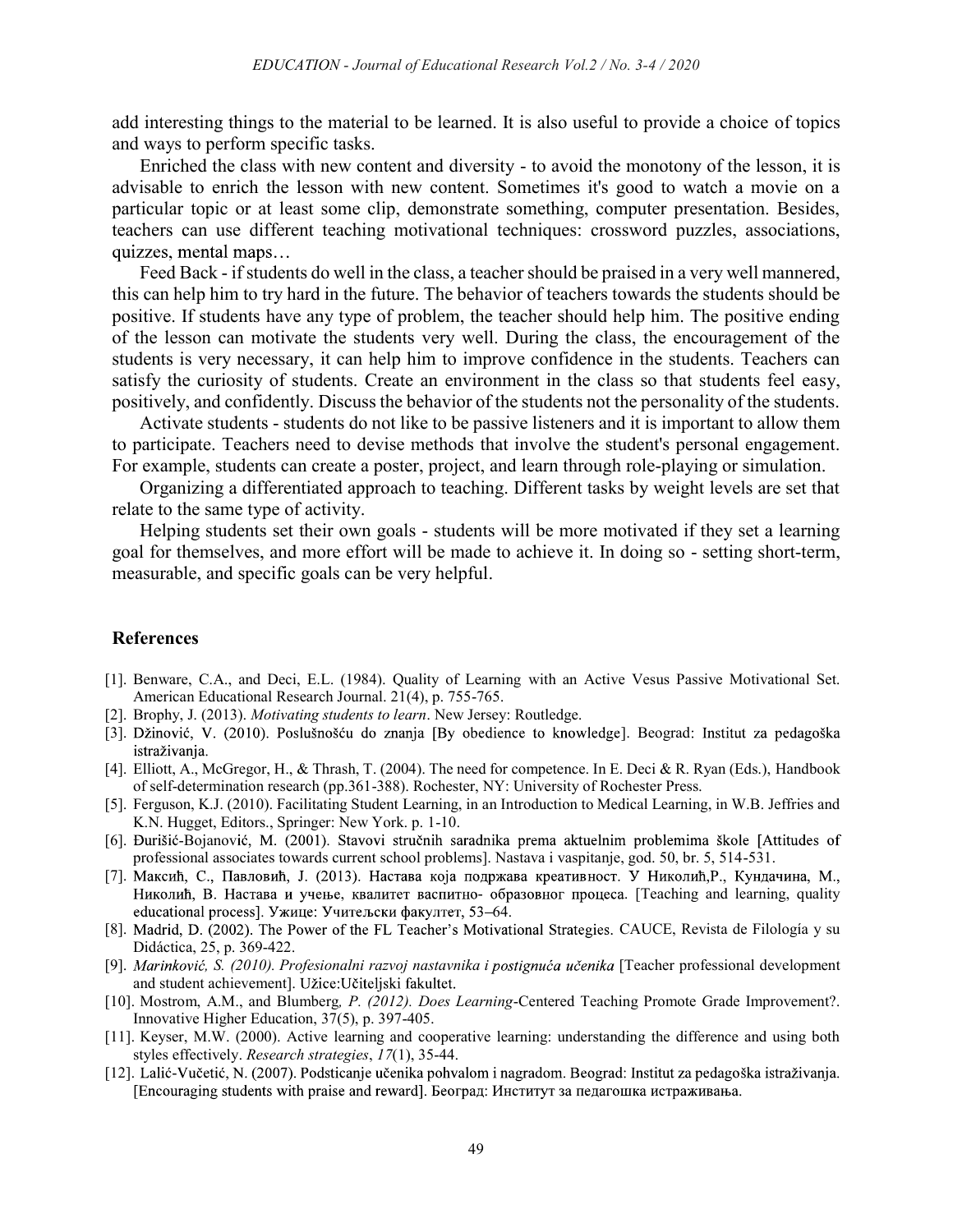add interesting things to the material to be learned. It is also useful to provide a choice of topics and ways to perform specific tasks.

Enriched the class with new content and diversity - to avoid the monotony of the lesson, it is advisable to enrich the lesson with new content. Sometimes it's good to watch a movie on a particular topic or at least some clip, demonstrate something, computer presentation. Besides, teachers can use different teaching motivational techniques: crossword puzzles, associations, quizzes, mental maps...

Feed Back - if students do well in the class, a teacher should be praised in a very well mannered, this can help him to try hard in the future. The behavior of teachers towards the students should be positive. If students have any type of problem, the teacher should help him. The positive ending of the lesson can motivate the students very well. During the class, the encouragement of the students is very necessary, it can help him to improve confidence in the students. Teachers can satisfy the curiosity of students. Create an environment in the class so that students feel easy, positively, and confidently. Discuss the behavior of the students not the personality of the students.

Activate students - students do not like to be passive listeners and it is important to allow them to participate. Teachers need to devise methods that involve the student's personal engagement. For example, students can create a poster, project, and learn through role-playing or simulation.

Organizing a differentiated approach to teaching. Different tasks by weight levels are set that relate to the same type of activity.

Helping students set their own goals - students will be more motivated if they set a learning goal for themselves, and more effort will be made to achieve it. In doing so - setting short-term, measurable, and specific goals can be very helpful.

#### References

- [1]. Benware, C.A., and Deci, E.L. (1984). Quality of Learning with an Active Vesus Passive Motivational Set. American Educational Research Journal. 21(4), p. 755-765.
- [2]. Brophy, J. (2013). Motivating students to learn. New Jersey: Routledge.
- [3]. Džinović, V. (2010). Poslušnošću do znanja [By obedience to knowledge]. Beograd: Institut za pedagoška istraživanja.
- [4]. Elliott, A., McGregor, H., & Thrash, T. (2004). The need for competence. In E. Deci & R. Ryan (Eds.), Handbook of self-determination research (pp.361-388). Rochester, NY: University of Rochester Press.
- [5]. Ferguson, K.J. (2010). Facilitating Student Learning, in an Introduction to Medical Learning, in W.B. Jeffries and K.N. Hugget, Editors., Springer: New York. p. 1-10.
- [6]. Đurišić-Bojanović, M. (2001). Stavovi stručnih saradnika prema aktuelnim problemima škole [Attitudes of professional associates towards current school problems]. Nastava i vaspitanje, god. 50, br. 5, 514-531.
- [7]. Максић, С., Павловић, Ј. (2013). Настава која подржава креативност. У Николић, Р., Кундачина, М., Николић, В. Настава и учење, квалитет васпитно- образовног процеса. [Teaching and learning, quality educational process]. Ужице: Учитељски факултет, 53–64.
- [8]. Madrid, D. (2002). The Power of the FL Teacher's Motivational Strategies. CAUCE, Revista de Filología y su Didáctica, 25, p. 369-422.
- [9]. Marinković, S. (2010). Profesionalni razvoj nastavnika i postignuća učenika [Teacher professional development and student achievement]. Užice:Učiteljski fakultet.
- [10]. Mostrom, A.M., and Blumberg, P. (2012). Does Learning-Centered Teaching Promote Grade Improvement?. Innovative Higher Education, 37(5), p. 397-405.
- [11]. Keyser, M.W. (2000). Active learning and cooperative learning: understanding the difference and using both styles effectively. Research strategies, 17(1), 35-44.
- [12]. Lalić-Vučetić, N. (2007). Podsticanje učenika pohvalom i nagradom. Beograd: Institut za pedagoška istraživanja. [Encouraging students with praise and reward]. Београд: Институт за педагошка истраживања.